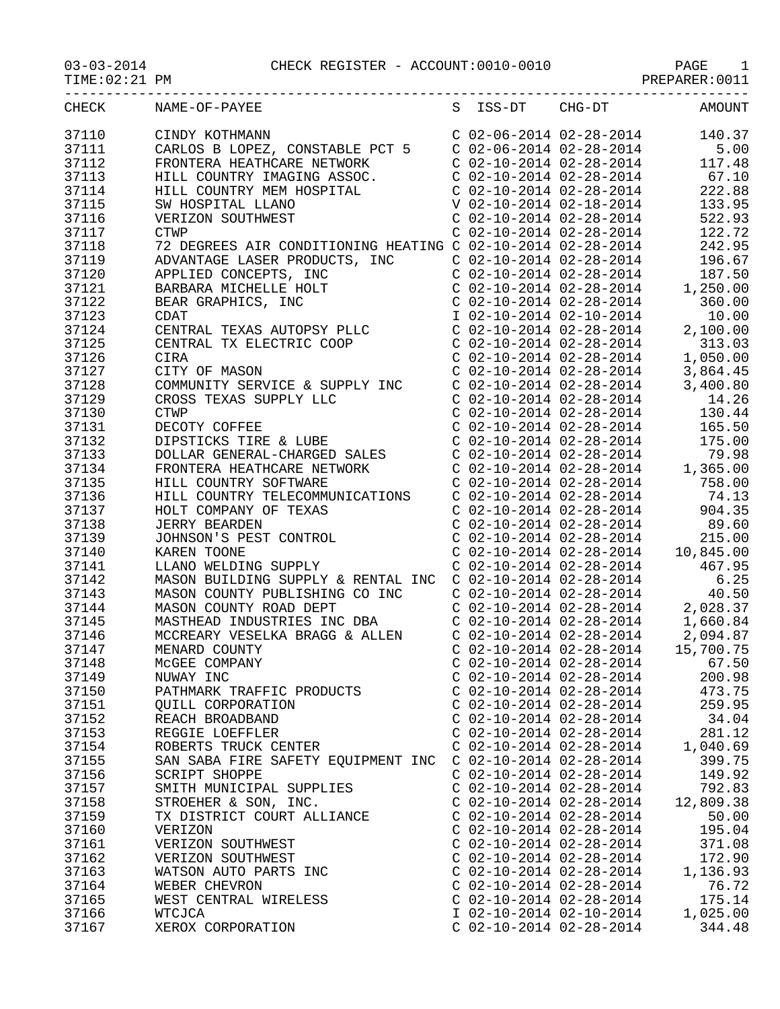| CHECK | NAME-OF-PAYEE                                                                                                                                                                                                                                    |                           |                           | S ISS-DT CHG-DT AMOUNT                                                                                                                                                                                               |
|-------|--------------------------------------------------------------------------------------------------------------------------------------------------------------------------------------------------------------------------------------------------|---------------------------|---------------------------|----------------------------------------------------------------------------------------------------------------------------------------------------------------------------------------------------------------------|
| 37110 | CINDY KOTHMANN                                                                                                                                                                                                                                   |                           |                           | C $02-06-2014$ $02-28-2014$ 140.37                                                                                                                                                                                   |
| 37111 |                                                                                                                                                                                                                                                  |                           |                           |                                                                                                                                                                                                                      |
| 37112 | CARLOS B LOPEZ, CONSTABLE PCT 5<br>COLOG-2014 02-28-2014 5.00<br>FRONTERA HEATHCARE NETWORK CO2-10-2014 02-28-2014 117.48<br>HILL COUNTRY IMAGING ASSOC. CO2-10-2014 02-28-2014 67.10<br>HILL COUNTRY MEM HOSPITAL COUNTRY MEM HOSPIT            |                           |                           |                                                                                                                                                                                                                      |
| 37113 |                                                                                                                                                                                                                                                  |                           |                           |                                                                                                                                                                                                                      |
| 37114 |                                                                                                                                                                                                                                                  |                           |                           |                                                                                                                                                                                                                      |
| 37115 | HILL COUNTRY MEM HOSPITAL<br>SW HOSPITAL LLANO<br>VERIZON SOUTHWEST<br>CITILI                                                                                                                                                                    |                           |                           |                                                                                                                                                                                                                      |
| 37116 |                                                                                                                                                                                                                                                  |                           |                           | $C$ 02-10-2014 02-28-2014 522.93                                                                                                                                                                                     |
|       |                                                                                                                                                                                                                                                  |                           |                           |                                                                                                                                                                                                                      |
| 37117 | <b>CTWP</b>                                                                                                                                                                                                                                      |                           |                           | C $02-10-2014$ $02-28-2014$ 122.72                                                                                                                                                                                   |
| 37118 | 72 DEGREES AIR CONDITIONING HEATING C 02-10-2014 02-28-2014 242.95<br>ADVANTAGE LASER PRODUCTS, INC C 02-10-2014 02-28-2014 196.67<br>APPLIED CONCEPTS, INC C 02-10-2014 02-28-2014 187.50<br>BARBARA MICHELLE HOLT C 02-10-2014 02-28-          |                           |                           |                                                                                                                                                                                                                      |
| 37119 |                                                                                                                                                                                                                                                  |                           |                           |                                                                                                                                                                                                                      |
| 37120 |                                                                                                                                                                                                                                                  |                           |                           |                                                                                                                                                                                                                      |
| 37121 |                                                                                                                                                                                                                                                  |                           |                           |                                                                                                                                                                                                                      |
| 37122 |                                                                                                                                                                                                                                                  |                           |                           | $C$ 02-10-2014 02-28-2014 360.00                                                                                                                                                                                     |
| 37123 | APPLIED CONCEPTS, INC<br>APPLIED CONCEPTS, INC<br>BARBARA MICHELLE HOLT<br>BEAR GRAPHICS, INC<br>CDAT<br>CENTRAL TEXAS AUTOPSY PLLC<br>CENTRAL TX ELECTRIC COOP<br>CIRA                                                                          |                           |                           |                                                                                                                                                                                                                      |
| 37124 |                                                                                                                                                                                                                                                  |                           |                           |                                                                                                                                                                                                                      |
| 37125 |                                                                                                                                                                                                                                                  |                           |                           |                                                                                                                                                                                                                      |
| 37126 | CIRA                                                                                                                                                                                                                                             |                           |                           |                                                                                                                                                                                                                      |
| 37127 | CITY OF MASON                                                                                                                                                                                                                                    |                           |                           | 1 02-10-2014 02-10-2014<br>C 02-10-2014 02-28-2014<br>C 02-10-2014 02-28-2014<br>C 02-10-2014 02-28-2014<br>C 02-10-2014 02-28-2014<br>1, 050.00<br>C 02-10-2014 02-28-2014<br>3, 864.45                             |
| 37128 | COMMUNITY SERVICE & SUPPLY INC C 02-10-2014 02-28-2014 3,400.80                                                                                                                                                                                  |                           |                           |                                                                                                                                                                                                                      |
| 37129 |                                                                                                                                                                                                                                                  |                           |                           |                                                                                                                                                                                                                      |
| 37130 |                                                                                                                                                                                                                                                  |                           |                           |                                                                                                                                                                                                                      |
| 37131 |                                                                                                                                                                                                                                                  |                           |                           |                                                                                                                                                                                                                      |
| 37132 |                                                                                                                                                                                                                                                  |                           |                           |                                                                                                                                                                                                                      |
| 37133 | CROSS TEXAS SUPPLY LLC<br>CROSS TEXAS SUPPLY LLC<br>CROSS TEXAS SUPPLY LLC<br>CO2-10-2014 02-28-2014<br>CO2-10-2014 02-28-2014<br>CO2-10-2014 02-28-2014<br>DIPSTICKS TIRE & LUBE<br>CO2-10-2014 02-28-2014<br>DIPSTICKS TIRE & LUBE<br>CO2-10-2 |                           |                           |                                                                                                                                                                                                                      |
|       |                                                                                                                                                                                                                                                  |                           |                           |                                                                                                                                                                                                                      |
| 37134 |                                                                                                                                                                                                                                                  |                           |                           |                                                                                                                                                                                                                      |
| 37135 |                                                                                                                                                                                                                                                  |                           |                           |                                                                                                                                                                                                                      |
| 37136 | HILL COUNTRY SOFTWARE<br>HILL COUNTRY TELECOMMUNICATIONS                                                                                                                                                                                         |                           |                           |                                                                                                                                                                                                                      |
| 37137 | HOLT COMPANY OF TEXAS<br>JERRY BEARDEN<br>JOHNSON'S PEST CONTROL<br>KAREN TOONE<br>LLANO WELDING SUPPLY                                                                                                                                          |                           |                           | C 02-10-2014 02-28-2014<br>C 02-10-2014 02-28-2014<br>C 02-10-2014 02-28-2014<br>C 02-10-2014 02-28-2014<br>C 02-10-2014 02-28-2014<br>C 02-10-2014 02-28-2014<br>C 02-10-2014 02-28-2014<br>C 02-10-2014 02-28-2014 |
| 37138 |                                                                                                                                                                                                                                                  |                           |                           |                                                                                                                                                                                                                      |
| 37139 |                                                                                                                                                                                                                                                  |                           |                           | 215.00                                                                                                                                                                                                               |
| 37140 |                                                                                                                                                                                                                                                  |                           |                           |                                                                                                                                                                                                                      |
| 37141 | XAREN TOONE<br>XAREN TOONE<br>LLANO WELDING SUPPLY<br>LLANO WELDING SUPPLY<br>MASON BUILDING SUPPLY & RENTAL INC C 02-10-2014 02-28-2014<br>MASON COUNTY PUBLISHING CO INC C 02-10-2014 02-28-2014<br>C 02-10-2014 02-28-2014<br>C 02-10-201     |                           |                           |                                                                                                                                                                                                                      |
| 37142 |                                                                                                                                                                                                                                                  |                           |                           |                                                                                                                                                                                                                      |
| 37143 |                                                                                                                                                                                                                                                  |                           |                           |                                                                                                                                                                                                                      |
| 37144 |                                                                                                                                                                                                                                                  |                           |                           |                                                                                                                                                                                                                      |
| 37145 |                                                                                                                                                                                                                                                  |                           |                           |                                                                                                                                                                                                                      |
| 37146 |                                                                                                                                                                                                                                                  |                           |                           |                                                                                                                                                                                                                      |
| 37147 | MASON COUNTY ROAD DEPT<br>MASTHEAD INDUSTRIES INC DBA<br>MCCREARY VESELKA BRAGG & ALLEN<br>MENARD COUNTY<br>MENARD COUNTY<br>MENARD COUNTY<br>C 02-10-2014 02-28-2014<br>C 02-10-2014 02-28-2014<br>C 02-10-2014 02-28-2014<br>2,094.87          |                           |                           |                                                                                                                                                                                                                      |
| 37148 | MCGEE COMPANY                                                                                                                                                                                                                                    | $C$ 02-10-2014 02-28-2014 |                           | 67.50                                                                                                                                                                                                                |
| 37149 | NUWAY INC                                                                                                                                                                                                                                        |                           | $C$ 02-10-2014 02-28-2014 | 200.98                                                                                                                                                                                                               |
| 37150 | PATHMARK TRAFFIC PRODUCTS                                                                                                                                                                                                                        | $C$ 02-10-2014 02-28-2014 |                           | 473.75                                                                                                                                                                                                               |
| 37151 | QUILL CORPORATION                                                                                                                                                                                                                                | $C$ 02-10-2014 02-28-2014 |                           | 259.95                                                                                                                                                                                                               |
| 37152 | REACH BROADBAND                                                                                                                                                                                                                                  | $C$ 02-10-2014 02-28-2014 |                           | 34.04                                                                                                                                                                                                                |
| 37153 | REGGIE LOEFFLER                                                                                                                                                                                                                                  | $C$ 02-10-2014 02-28-2014 |                           | 281.12                                                                                                                                                                                                               |
| 37154 | ROBERTS TRUCK CENTER                                                                                                                                                                                                                             |                           | $C$ 02-10-2014 02-28-2014 | 1,040.69                                                                                                                                                                                                             |
| 37155 | SAN SABA FIRE SAFETY EQUIPMENT INC                                                                                                                                                                                                               | $C$ 02-10-2014 02-28-2014 |                           | 399.75                                                                                                                                                                                                               |
| 37156 | SCRIPT SHOPPE                                                                                                                                                                                                                                    | $C$ 02-10-2014 02-28-2014 |                           | 149.92                                                                                                                                                                                                               |
|       | SMITH MUNICIPAL SUPPLIES                                                                                                                                                                                                                         | $C$ 02-10-2014 02-28-2014 |                           | 792.83                                                                                                                                                                                                               |
| 37157 |                                                                                                                                                                                                                                                  |                           |                           |                                                                                                                                                                                                                      |
| 37158 | STROEHER & SON, INC.                                                                                                                                                                                                                             | $C$ 02-10-2014 02-28-2014 |                           | 12,809.38                                                                                                                                                                                                            |
| 37159 | TX DISTRICT COURT ALLIANCE                                                                                                                                                                                                                       | $C$ 02-10-2014 02-28-2014 |                           | 50.00                                                                                                                                                                                                                |
| 37160 | VERIZON                                                                                                                                                                                                                                          | $C$ 02-10-2014 02-28-2014 |                           | 195.04                                                                                                                                                                                                               |
| 37161 | VERIZON SOUTHWEST                                                                                                                                                                                                                                | $C$ 02-10-2014 02-28-2014 |                           | 371.08                                                                                                                                                                                                               |
| 37162 | VERIZON SOUTHWEST                                                                                                                                                                                                                                | $C$ 02-10-2014 02-28-2014 |                           | 172.90                                                                                                                                                                                                               |
| 37163 | WATSON AUTO PARTS INC                                                                                                                                                                                                                            | $C$ 02-10-2014 02-28-2014 |                           | 1,136.93                                                                                                                                                                                                             |
| 37164 | WEBER CHEVRON                                                                                                                                                                                                                                    | $C$ 02-10-2014 02-28-2014 |                           | 76.72                                                                                                                                                                                                                |
| 37165 | WEST CENTRAL WIRELESS                                                                                                                                                                                                                            |                           | $C$ 02-10-2014 02-28-2014 | 175.14                                                                                                                                                                                                               |
| 37166 | WTCJCA                                                                                                                                                                                                                                           |                           | I 02-10-2014 02-10-2014   | 1,025.00                                                                                                                                                                                                             |

37167 XEROX CORPORATION C 02-10-2014 02-28-2014 344.48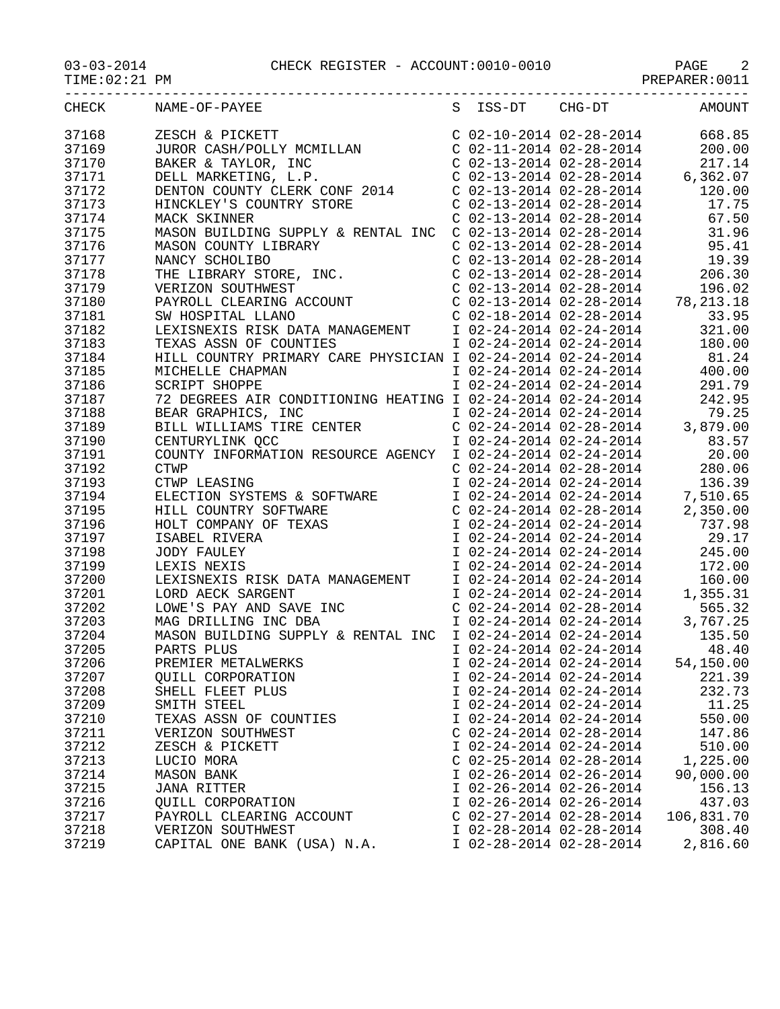| CHECK          | NAME-OF-PAYEE                                                                                                                                                                                                                                        | S ISS-DT CHG-DT           | AMOUNT                                                                                                                                                                    |
|----------------|------------------------------------------------------------------------------------------------------------------------------------------------------------------------------------------------------------------------------------------------------|---------------------------|---------------------------------------------------------------------------------------------------------------------------------------------------------------------------|
| 37168          |                                                                                                                                                                                                                                                      |                           |                                                                                                                                                                           |
| 37169          |                                                                                                                                                                                                                                                      |                           |                                                                                                                                                                           |
| 37170          |                                                                                                                                                                                                                                                      |                           |                                                                                                                                                                           |
| 37171          |                                                                                                                                                                                                                                                      |                           |                                                                                                                                                                           |
| 37172          |                                                                                                                                                                                                                                                      |                           |                                                                                                                                                                           |
| 37173          |                                                                                                                                                                                                                                                      |                           |                                                                                                                                                                           |
| 37174          |                                                                                                                                                                                                                                                      |                           |                                                                                                                                                                           |
| 37175          |                                                                                                                                                                                                                                                      |                           |                                                                                                                                                                           |
| 37176          |                                                                                                                                                                                                                                                      |                           |                                                                                                                                                                           |
| 37177          |                                                                                                                                                                                                                                                      |                           |                                                                                                                                                                           |
| 37178          |                                                                                                                                                                                                                                                      |                           |                                                                                                                                                                           |
| 37179          |                                                                                                                                                                                                                                                      |                           |                                                                                                                                                                           |
| 37180          | MASON COUNTY LIBRARY<br>NANCY SCHOLIBO<br>THE LIBRARY STORE, INC.<br>THE LIBRARY STORE, INC.<br>CO2-13-2014 02-28-2014<br>CO2-13-2014 02-28-2014<br>CO2-13-2014 02-28-2014<br>PAYROLD INCENSITY CO2-13-2014 02-28-2014<br>PAYROLD CLEARING ACC       |                           |                                                                                                                                                                           |
| 37181          |                                                                                                                                                                                                                                                      |                           |                                                                                                                                                                           |
| 37182          |                                                                                                                                                                                                                                                      |                           |                                                                                                                                                                           |
| 37183          |                                                                                                                                                                                                                                                      |                           |                                                                                                                                                                           |
| 37184          |                                                                                                                                                                                                                                                      |                           |                                                                                                                                                                           |
| 37185          |                                                                                                                                                                                                                                                      |                           |                                                                                                                                                                           |
| 37186          |                                                                                                                                                                                                                                                      |                           |                                                                                                                                                                           |
| 37187          |                                                                                                                                                                                                                                                      |                           |                                                                                                                                                                           |
| 37188          |                                                                                                                                                                                                                                                      |                           |                                                                                                                                                                           |
| 37189          |                                                                                                                                                                                                                                                      |                           |                                                                                                                                                                           |
| 37190          |                                                                                                                                                                                                                                                      |                           |                                                                                                                                                                           |
| 37191          |                                                                                                                                                                                                                                                      |                           |                                                                                                                                                                           |
| 37192          | EXISNEXIS RISK DATA MANAGEMENT $102-24-201402-24-2014$<br>TEXAS ASSN OF COUNTIES $102-24-201402-24-2014$<br>HILL COUNTRY PRIMARY CARE PHYSICIAN $102-24-201402-24-2014$<br>MICHELLE CHAPMAN<br>MICHELLE CHAPMAN<br>SCRIPT SHOPPE $102-24$            |                           |                                                                                                                                                                           |
| 37193          |                                                                                                                                                                                                                                                      |                           | 136.39                                                                                                                                                                    |
| 37194          | CTWP<br>CTWP LEASING<br>ELECTION SYSTEMS & SOFTWARE<br>HILL COUNTRY SOFTWARE<br>HOLT COMPANY OF TEXAS<br>ISABEL RIVERA<br>JODY FAULEY                                                                                                                | I 02-24-2014 02-24-2014   |                                                                                                                                                                           |
| 37195          |                                                                                                                                                                                                                                                      |                           | 1 02-24-2014 02-24-2014 7,510.65<br>C 02-24-2014 02-28-2014 2,350.00<br>I 02-24-2014 02-24-2014 737.98<br>I 02-24-2014 02-24-2014 29.17<br>I 02-24-2014 02-24-2014 245.00 |
| 37196          |                                                                                                                                                                                                                                                      |                           |                                                                                                                                                                           |
| 37197          |                                                                                                                                                                                                                                                      |                           |                                                                                                                                                                           |
| 37198          |                                                                                                                                                                                                                                                      |                           |                                                                                                                                                                           |
| 37199          |                                                                                                                                                                                                                                                      |                           |                                                                                                                                                                           |
| 37200          |                                                                                                                                                                                                                                                      |                           |                                                                                                                                                                           |
| 37201          |                                                                                                                                                                                                                                                      |                           |                                                                                                                                                                           |
| 37202          |                                                                                                                                                                                                                                                      |                           |                                                                                                                                                                           |
| 37203          | LEXIS NEXIS<br>LEXIS NEXIS<br>LEXISNEXIS RISK DATA MANAGEMENT<br>LORD AECK SARGENT<br>LORD AECK SARGENT<br>LORD AECK SARGENT<br>LORD AECK SARGENT<br>LORD AECK SARGENT<br>LORD AECK SARGENT<br>LORD AECK SARGENT<br>LORD AECK SARGENT<br>LORD AECK S |                           |                                                                                                                                                                           |
| 37204          | MASON BUILDING SUPPLY & RENTAL INC I 02-24-2014 02-24-2014 135.50                                                                                                                                                                                    |                           |                                                                                                                                                                           |
| 37205          | PARTS PLUS                                                                                                                                                                                                                                           | I 02-24-2014 02-24-2014   | 48.40                                                                                                                                                                     |
| 37206          | PREMIER METALWERKS                                                                                                                                                                                                                                   | I 02-24-2014 02-24-2014   | 54,150.00                                                                                                                                                                 |
| 37207          | QUILL CORPORATION                                                                                                                                                                                                                                    | I 02-24-2014 02-24-2014   | 221.39                                                                                                                                                                    |
| 37208          | SHELL FLEET PLUS                                                                                                                                                                                                                                     | I 02-24-2014 02-24-2014   | 232.73                                                                                                                                                                    |
| 37209          | SMITH STEEL                                                                                                                                                                                                                                          | I 02-24-2014 02-24-2014   | 11.25                                                                                                                                                                     |
| 37210          | TEXAS ASSN OF COUNTIES                                                                                                                                                                                                                               | I 02-24-2014 02-24-2014   | 550.00                                                                                                                                                                    |
| 37211          | VERIZON SOUTHWEST                                                                                                                                                                                                                                    | $C$ 02-24-2014 02-28-2014 | 147.86                                                                                                                                                                    |
| 37212          | ZESCH & PICKETT                                                                                                                                                                                                                                      | I 02-24-2014 02-24-2014   | 510.00                                                                                                                                                                    |
|                |                                                                                                                                                                                                                                                      | $C$ 02-25-2014 02-28-2014 |                                                                                                                                                                           |
| 37213<br>37214 | LUCIO MORA<br><b>MASON BANK</b>                                                                                                                                                                                                                      | I 02-26-2014 02-26-2014   | 1,225.00<br>90,000.00                                                                                                                                                     |
| 37215          | <b>JANA RITTER</b>                                                                                                                                                                                                                                   | I 02-26-2014 02-26-2014   | 156.13                                                                                                                                                                    |
| 37216          | QUILL CORPORATION                                                                                                                                                                                                                                    | I 02-26-2014 02-26-2014   | 437.03                                                                                                                                                                    |
| 37217          | PAYROLL CLEARING ACCOUNT                                                                                                                                                                                                                             | $C$ 02-27-2014 02-28-2014 | 106,831.70                                                                                                                                                                |
| 37218          | VERIZON SOUTHWEST                                                                                                                                                                                                                                    | I 02-28-2014 02-28-2014   | 308.40                                                                                                                                                                    |
| 37219          | CAPITAL ONE BANK (USA) N.A.                                                                                                                                                                                                                          | I 02-28-2014 02-28-2014   | 2,816.60                                                                                                                                                                  |
|                |                                                                                                                                                                                                                                                      |                           |                                                                                                                                                                           |